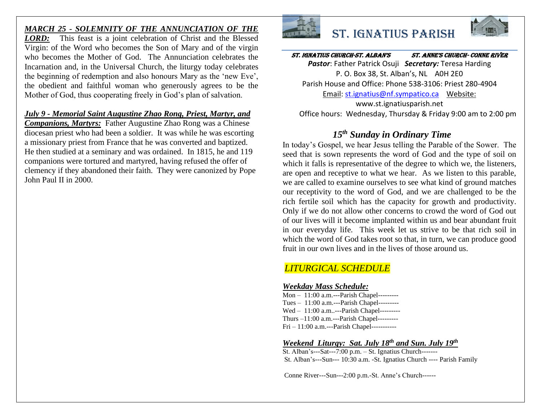## *MARCH 25 - SOLEMNITY OF THE ANNUNCIATION OF THE*

*LORD:* This feast is a joint celebration of Christ and the Blessed Virgin: of the Word who becomes the Son of Mary and of the virgin who becomes the Mother of God. The Annunciation celebrates the Incarnation and, in the Universal Church, the liturgy today celebrates the beginning of redemption and also honours Mary as the 'new Eve', the obedient and faithful woman who generously agrees to be the Mother of God, thus cooperating freely in God's plan of salvation.

### *July 9 - Memorial Saint Augustine Zhao Rong, Priest, Martyr, and*

*Companions, Martyrs:* Father Augustine Zhao Rong was a Chinese diocesan priest who had been a soldier. It was while he was escorting a missionary priest from France that he was converted and baptized. He then studied at a seminary and was ordained. In 1815, he and 119 companions were tortured and martyred, having refused the offer of clemency if they abandoned their faith. They were canonized by Pope John Paul II in 2000.



# St. Ignatius Parish



St. Ignatius Church-St. AlbAn'S St. Anne'S ChurCh- Conne River *Pastor*: Father Patrick Osuji *Secretary:* Teresa Harding P. O. Box 38, St. Alban's, NL A0H 2E0

Parish House and Office: Phone 538-3106: Priest 280-4904

Email: [st.ignatius@nf.sympatico.ca](mailto:st.ignatius@nf.sympatico.ca) Website:

www.st.ignatiusparish.net Office hours: Wednesday, Thursday & Friday 9:00 am to 2:00 pm

## *15th Sunday in Ordinary Time*

In today's Gospel, we hear Jesus telling the Parable of the Sower. The seed that is sown represents the word of God and the type of soil on which it falls is representative of the degree to which we, the listeners, are open and receptive to what we hear. As we listen to this parable, we are called to examine ourselves to see what kind of ground matches our receptivity to the word of God, and we are challenged to be the rich fertile soil which has the capacity for growth and productivity. Only if we do not allow other concerns to crowd the word of God out of our lives will it become implanted within us and bear abundant fruit in our everyday life. This week let us strive to be that rich soil in which the word of God takes root so that, in turn, we can produce good fruit in our own lives and in the lives of those around us.

## *LITURGICAL SCHEDULE*

### *Weekday Mass Schedule:*

Mon – 11:00 a.m.---Parish Chapel--------- Tues – 11:00 a.m.---Parish Chapel--------- Wed - 11:00 a.m..---Parish Chapel---------Thurs –11:00 a.m.---Parish Chapel--------- Fri – 11:00 a.m.---Parish Chapel-----------

## *Weekend Liturgy: Sat. July 18 th and Sun. July 19th*

St. Alban's---Sat---7:00 p.m. – St. Ignatius Church------- St. Alban's---Sun--- 10:30 a.m. -St. Ignatius Church ---- Parish Family

Conne River---Sun---2:00 p.m.-St. Anne's Church------